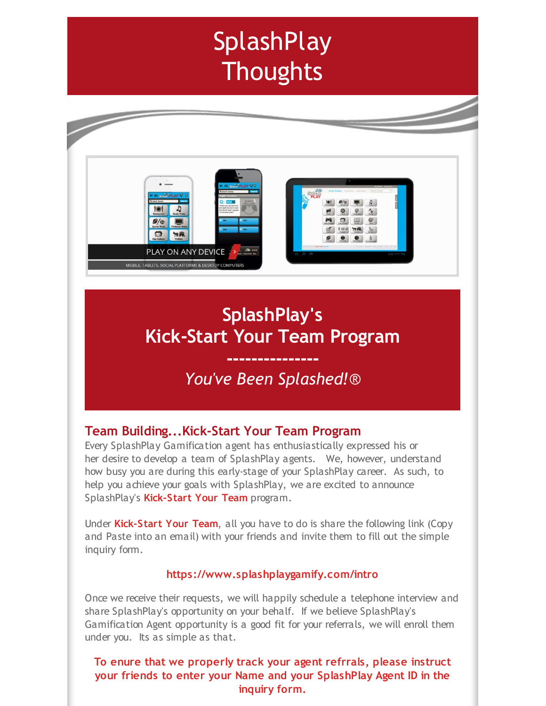# **SplashPlay Thoughts**



# **SplashPlay's Kick-Start Your Team Program**

## **---------------** *You've Been Splashed!*®

## **Team Building...Kick-Start Your Team Program**

Every SplashPlay Gamification agent has enthusiastically expressed his or her desire to develop a team of SplashPlay agents. We, however, understand how busy you are during this early-stage of your SplashPlay career. As such, to help you achieve your goals with SplashPlay, we are excited to announce SplashPlay's **Kick-Start Your Team** program.

Under **Kick-Start Your Team**, all you have to do is share the following link (Copy and Paste into an email) with your friends and invite them to fill out the simple inquiry form.

#### **https://www.splashplaygamify.com/intro**

Once we receive their requests, we will happily schedule a telephone interview and share SplashPlay's opportunity on your behalf. If we believe SplashPlay's Gamification Agent opportunity is a good fit for your referrals, we will enroll them under you. Its as simple as that.

### **To enure that we properly track your agent refrrals, please instruct your friends to enter your Name and your SplashPlay Agent ID in the inquiry form.**